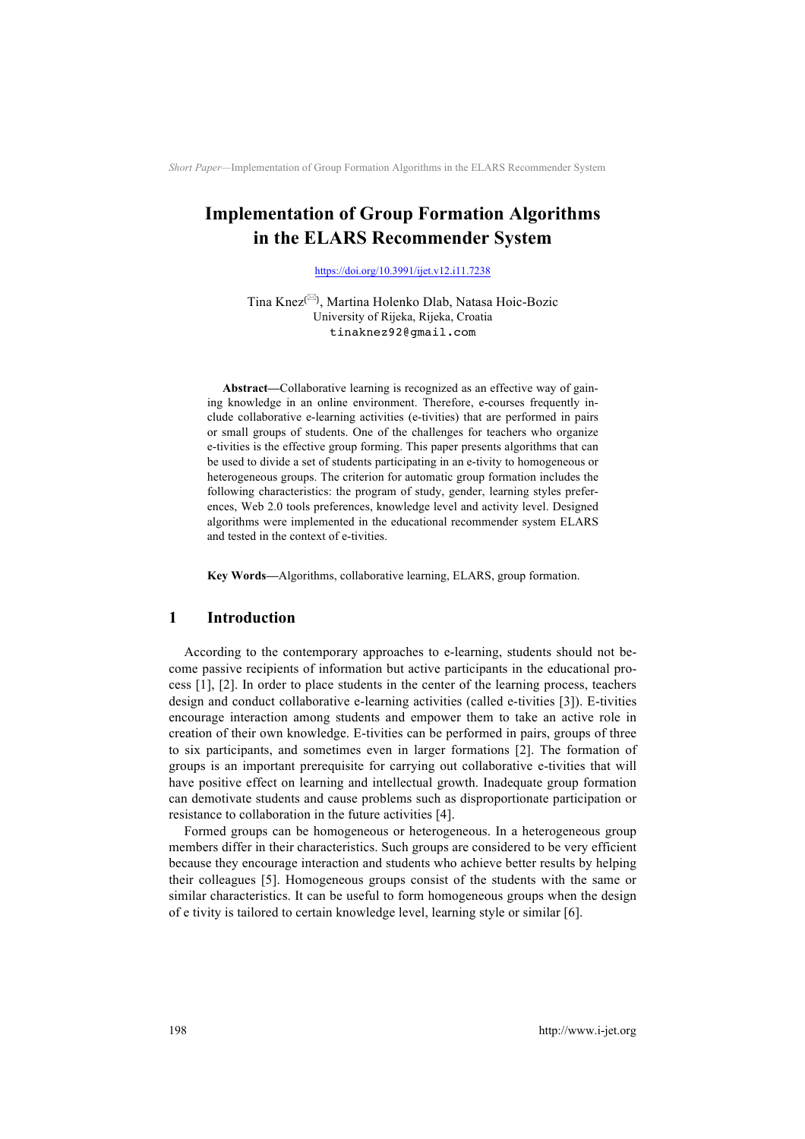# **Implementation of Group Formation Algorithms in the ELARS Recommender System**

https://doi.org/10.3991/ijet.v12.i11.7238

Tina Knez!!", Martina Holenko Dlab, Natasa Hoic-Bozic University of Rijeka, Rijeka, Croatia tinaknez92@gmail.com

**Abstract—**Collaborative learning is recognized as an effective way of gaining knowledge in an online environment. Therefore, e-courses frequently include collaborative e-learning activities (e-tivities) that are performed in pairs or small groups of students. One of the challenges for teachers who organize e-tivities is the effective group forming. This paper presents algorithms that can be used to divide a set of students participating in an e-tivity to homogeneous or heterogeneous groups. The criterion for automatic group formation includes the following characteristics: the program of study, gender, learning styles preferences, Web 2.0 tools preferences, knowledge level and activity level. Designed algorithms were implemented in the educational recommender system ELARS and tested in the context of e-tivities.

**Key Words—**Algorithms, collaborative learning, ELARS, group formation.

### **1 Introduction**

According to the contemporary approaches to e-learning, students should not become passive recipients of information but active participants in the educational process [1], [2]. In order to place students in the center of the learning process, teachers design and conduct collaborative e-learning activities (called e-tivities [3]). E-tivities encourage interaction among students and empower them to take an active role in creation of their own knowledge. E-tivities can be performed in pairs, groups of three to six participants, and sometimes even in larger formations [2]. The formation of groups is an important prerequisite for carrying out collaborative e-tivities that will have positive effect on learning and intellectual growth. Inadequate group formation can demotivate students and cause problems such as disproportionate participation or resistance to collaboration in the future activities [4].

Formed groups can be homogeneous or heterogeneous. In a heterogeneous group members differ in their characteristics. Such groups are considered to be very efficient because they encourage interaction and students who achieve better results by helping their colleagues [5]. Homogeneous groups consist of the students with the same or similar characteristics. It can be useful to form homogeneous groups when the design of e tivity is tailored to certain knowledge level, learning style or similar [6].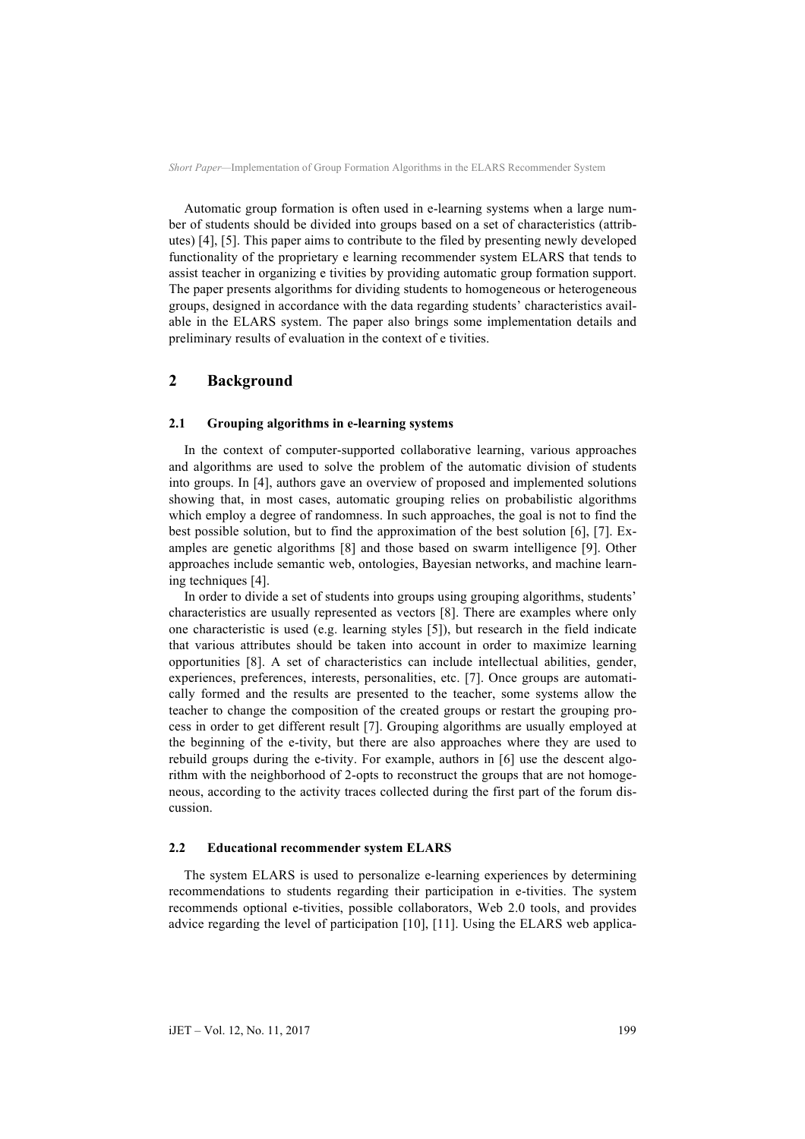Automatic group formation is often used in e-learning systems when a large number of students should be divided into groups based on a set of characteristics (attributes) [4], [5]. This paper aims to contribute to the filed by presenting newly developed functionality of the proprietary e learning recommender system ELARS that tends to assist teacher in organizing e tivities by providing automatic group formation support. The paper presents algorithms for dividing students to homogeneous or heterogeneous groups, designed in accordance with the data regarding students' characteristics available in the ELARS system. The paper also brings some implementation details and preliminary results of evaluation in the context of e tivities.

### **2 Background**

#### **2.1 Grouping algorithms in e-learning systems**

In the context of computer-supported collaborative learning, various approaches and algorithms are used to solve the problem of the automatic division of students into groups. In [4], authors gave an overview of proposed and implemented solutions showing that, in most cases, automatic grouping relies on probabilistic algorithms which employ a degree of randomness. In such approaches, the goal is not to find the best possible solution, but to find the approximation of the best solution [6], [7]. Examples are genetic algorithms [8] and those based on swarm intelligence [9]. Other approaches include semantic web, ontologies, Bayesian networks, and machine learning techniques [4].

In order to divide a set of students into groups using grouping algorithms, students' characteristics are usually represented as vectors [8]. There are examples where only one characteristic is used (e.g. learning styles [5]), but research in the field indicate that various attributes should be taken into account in order to maximize learning opportunities [8]. A set of characteristics can include intellectual abilities, gender, experiences, preferences, interests, personalities, etc. [7]. Once groups are automatically formed and the results are presented to the teacher, some systems allow the teacher to change the composition of the created groups or restart the grouping process in order to get different result [7]. Grouping algorithms are usually employed at the beginning of the e-tivity, but there are also approaches where they are used to rebuild groups during the e-tivity. For example, authors in [6] use the descent algorithm with the neighborhood of 2-opts to reconstruct the groups that are not homogeneous, according to the activity traces collected during the first part of the forum discussion.

#### **2.2 Educational recommender system ELARS**

The system ELARS is used to personalize e-learning experiences by determining recommendations to students regarding their participation in e-tivities. The system recommends optional e-tivities, possible collaborators, Web 2.0 tools, and provides advice regarding the level of participation [10], [11]. Using the ELARS web applica-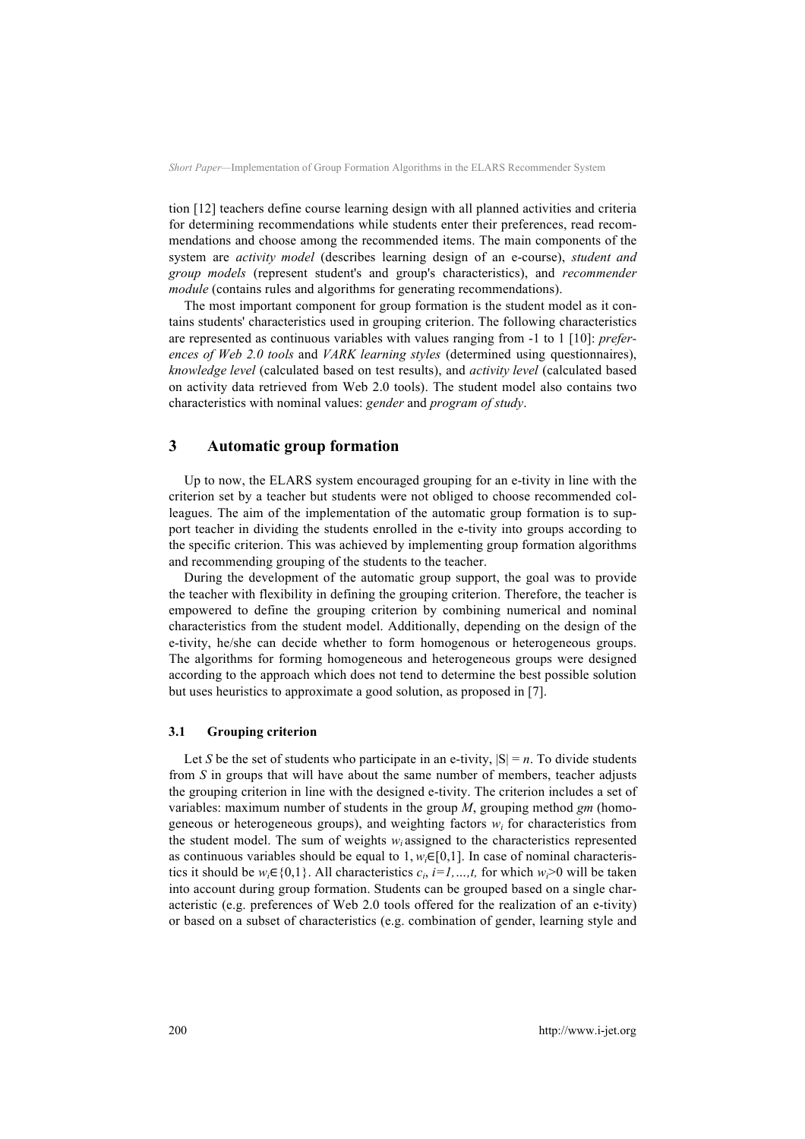tion [12] teachers define course learning design with all planned activities and criteria for determining recommendations while students enter their preferences, read recommendations and choose among the recommended items. The main components of the system are *activity model* (describes learning design of an e-course), *student and group models* (represent student's and group's characteristics), and *recommender module* (contains rules and algorithms for generating recommendations).

The most important component for group formation is the student model as it contains students' characteristics used in grouping criterion. The following characteristics are represented as continuous variables with values ranging from -1 to 1 [10]: *preferences of Web 2.0 tools* and *VARK learning styles* (determined using questionnaires), *knowledge level* (calculated based on test results), and *activity level* (calculated based on activity data retrieved from Web 2.0 tools). The student model also contains two characteristics with nominal values: *gender* and *program of study*.

### **3 Automatic group formation**

Up to now, the ELARS system encouraged grouping for an e-tivity in line with the criterion set by a teacher but students were not obliged to choose recommended colleagues. The aim of the implementation of the automatic group formation is to support teacher in dividing the students enrolled in the e-tivity into groups according to the specific criterion. This was achieved by implementing group formation algorithms and recommending grouping of the students to the teacher.

During the development of the automatic group support, the goal was to provide the teacher with flexibility in defining the grouping criterion. Therefore, the teacher is empowered to define the grouping criterion by combining numerical and nominal characteristics from the student model. Additionally, depending on the design of the e-tivity, he/she can decide whether to form homogenous or heterogeneous groups. The algorithms for forming homogeneous and heterogeneous groups were designed according to the approach which does not tend to determine the best possible solution but uses heuristics to approximate a good solution, as proposed in [7].

#### **3.1 Grouping criterion**

Let *S* be the set of students who participate in an e-tivity,  $|S| = n$ . To divide students from *S* in groups that will have about the same number of members, teacher adjusts the grouping criterion in line with the designed e-tivity. The criterion includes a set of variables: maximum number of students in the group *M*, grouping method *gm* (homogeneous or heterogeneous groups), and weighting factors  $w_i$  for characteristics from the student model. The sum of weights  $w_i$  assigned to the characteristics represented as continuous variables should be equal to  $1, w_i \in [0,1]$ . In case of nominal characteristics it should be  $w_i \in \{0,1\}$ . All characteristics  $c_i$ ,  $i=1,\dots,t$ , for which  $w_i>0$  will be taken into account during group formation. Students can be grouped based on a single characteristic (e.g. preferences of Web 2.0 tools offered for the realization of an e-tivity) or based on a subset of characteristics (e.g. combination of gender, learning style and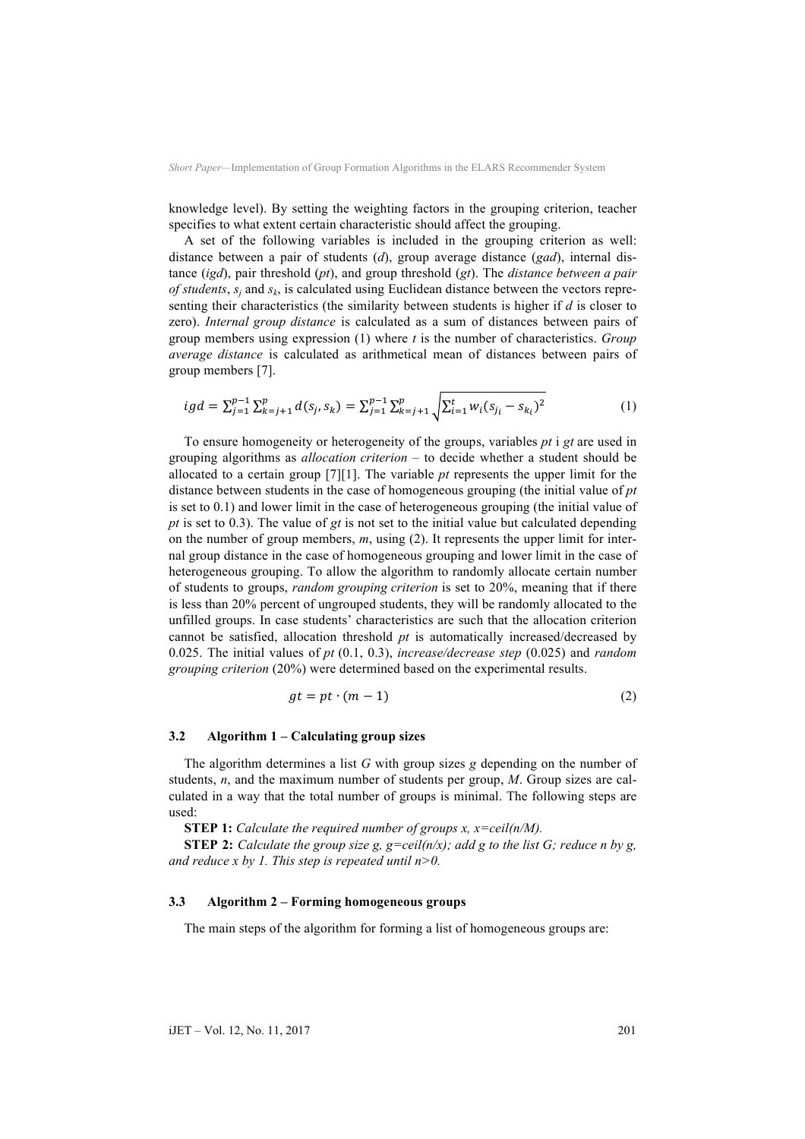knowledge level). By setting the weighting factors in the grouping criterion, teacher specifies to what extent certain characteristic should affect the grouping.

A set of the following variables is included in the grouping criterion as well: distance between a pair of students (*d*), group average distance (*gad*), internal distance (*igd*), pair threshold (*pt*), and group threshold (*gt*). The *distance between a pair of students*,  $s_i$  and  $s_k$ , is calculated using Euclidean distance between the vectors representing their characteristics (the similarity between students is higher if *d* is closer to zero). *Internal group distance* is calculated as a sum of distances between pairs of group members using expression (1) where *t* is the number of characteristics. *Group average distance* is calculated as arithmetical mean of distances between pairs of group members [7].

$$
igd = \sum_{j=1}^{p-1} \sum_{k=j+1}^{p} d(s_j, s_k) = \sum_{j=1}^{p-1} \sum_{k=j+1}^{p} \sqrt{\sum_{i=1}^{t} w_i (s_{j_i} - s_{k_i})^2}
$$
(1)

To ensure homogeneity or heterogeneity of the groups, variables *pt* i *gt* are used in grouping algorithms as *allocation criterion* – to decide whether a student should be allocated to a certain group [7][1]. The variable *pt* represents the upper limit for the distance between students in the case of homogeneous grouping (the initial value of *pt* is set to 0.1) and lower limit in the case of heterogeneous grouping (the initial value of *pt* is set to 0.3). The value of *gt* is not set to the initial value but calculated depending on the number of group members, *m*, using (2). It represents the upper limit for internal group distance in the case of homogeneous grouping and lower limit in the case of heterogeneous grouping. To allow the algorithm to randomly allocate certain number of students to groups, *random grouping criterion* is set to 20%, meaning that if there is less than 20% percent of ungrouped students, they will be randomly allocated to the unfilled groups. In case students' characteristics are such that the allocation criterion cannot be satisfied, allocation threshold *pt* is automatically increased/decreased by 0.025. The initial values of *pt* (0.1, 0.3), *increase/decrease step* (0.025) and *random grouping criterion* (20%) were determined based on the experimental results.

$$
gt = pt \cdot (m-1) \tag{2}
$$

#### **3.2 Algorithm 1 – Calculating group sizes**

The algorithm determines a list *G* with group sizes *g* depending on the number of students, *n*, and the maximum number of students per group, *M*. Group sizes are calculated in a way that the total number of groups is minimal. The following steps are used:

**STEP 1:** *Calculate the required number of groups x, x=ceil(n/M).*

**STEP 2:** *Calculate the group size g, g=ceil(n/x); add g to the list G; reduce n by g, and reduce x by 1. This step is repeated until n>0.*

#### **3.3 Algorithm 2 – Forming homogeneous groups**

The main steps of the algorithm for forming a list of homogeneous groups are: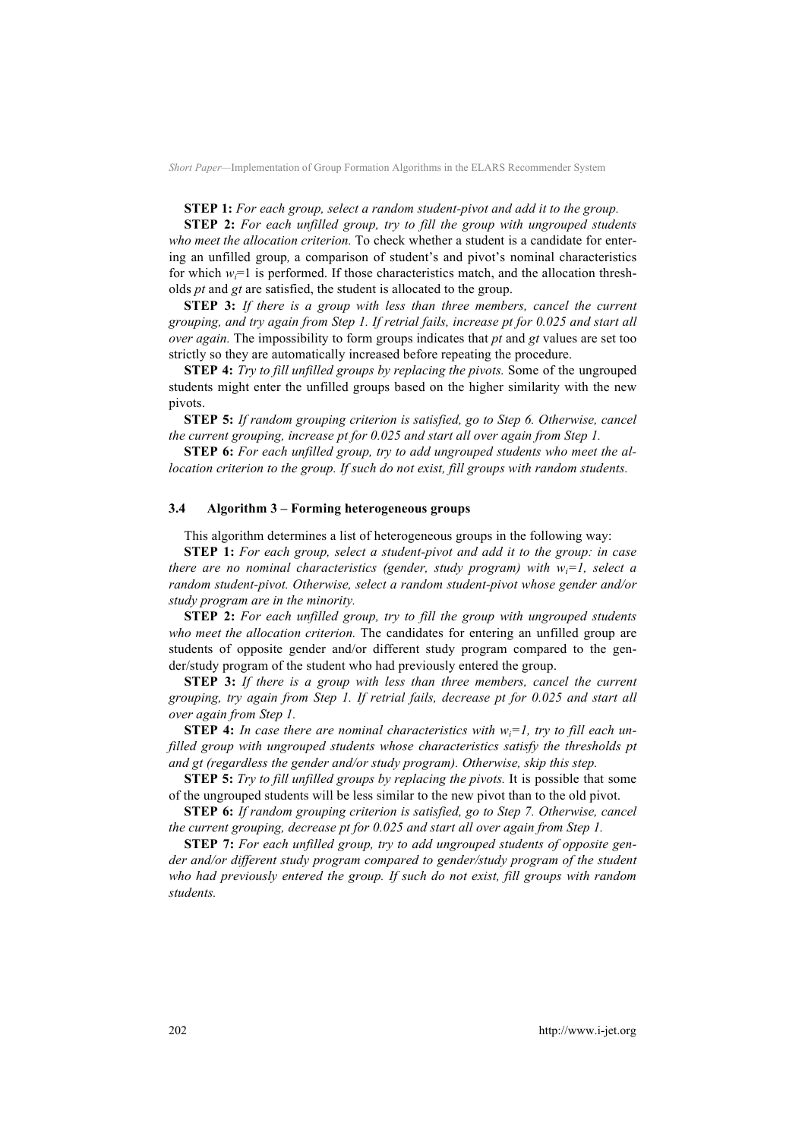**STEP 1:** *For each group, select a random student-pivot and add it to the group.*

**STEP 2:** *For each unfilled group, try to fill the group with ungrouped students who meet the allocation criterion.* To check whether a student is a candidate for entering an unfilled group*,* a comparison of student's and pivot's nominal characteristics for which  $w_i=1$  is performed. If those characteristics match, and the allocation thresholds *pt* and *gt* are satisfied, the student is allocated to the group.

**STEP 3:** *If there is a group with less than three members, cancel the current grouping, and try again from Step 1. If retrial fails, increase pt for 0.025 and start all over again.* The impossibility to form groups indicates that *pt* and *gt* values are set too strictly so they are automatically increased before repeating the procedure.

**STEP 4:** *Try to fill unfilled groups by replacing the pivots.* Some of the ungrouped students might enter the unfilled groups based on the higher similarity with the new pivots.

**STEP 5:** *If random grouping criterion is satisfied, go to Step 6. Otherwise, cancel the current grouping, increase pt for 0.025 and start all over again from Step 1.* 

**STEP 6:** *For each unfilled group, try to add ungrouped students who meet the allocation criterion to the group. If such do not exist, fill groups with random students.*

#### **3.4 Algorithm 3 – Forming heterogeneous groups**

This algorithm determines a list of heterogeneous groups in the following way:

**STEP 1:** *For each group, select a student-pivot and add it to the group: in case there are no nominal characteristics (gender, study program) with wi=1, select a random student-pivot. Otherwise, select a random student-pivot whose gender and/or study program are in the minority.* 

**STEP 2:** *For each unfilled group, try to fill the group with ungrouped students who meet the allocation criterion.* The candidates for entering an unfilled group are students of opposite gender and/or different study program compared to the gender/study program of the student who had previously entered the group.

**STEP 3:** *If there is a group with less than three members, cancel the current grouping, try again from Step 1. If retrial fails, decrease pt for 0.025 and start all over again from Step 1.* 

**STEP 4:** In case there are nominal characteristics with  $w_i = 1$ , try to fill each un*filled group with ungrouped students whose characteristics satisfy the thresholds pt and gt (regardless the gender and/or study program). Otherwise, skip this step.*

**STEP 5:** *Try to fill unfilled groups by replacing the pivots.* It is possible that some of the ungrouped students will be less similar to the new pivot than to the old pivot.

**STEP 6:** *If random grouping criterion is satisfied, go to Step 7. Otherwise, cancel the current grouping, decrease pt for 0.025 and start all over again from Step 1.* 

**STEP 7:** *For each unfilled group, try to add ungrouped students of opposite gender and/or different study program compared to gender/study program of the student who had previously entered the group. If such do not exist, fill groups with random students.*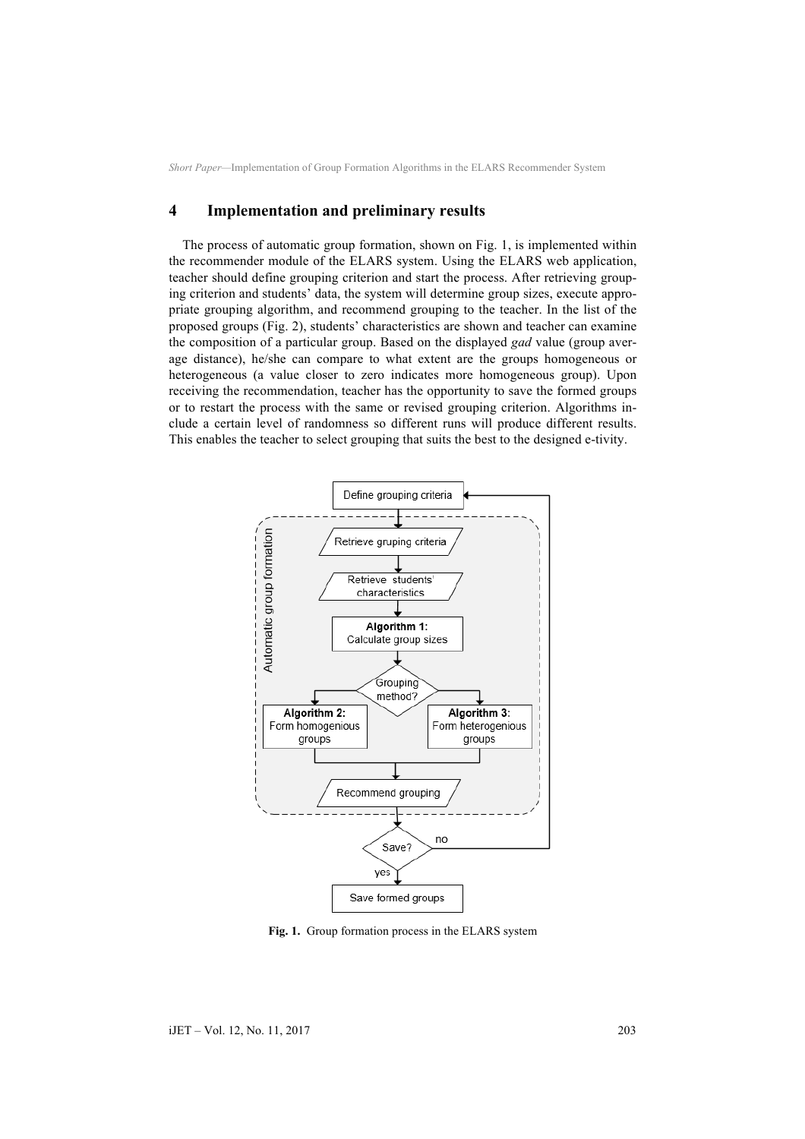### **4 Implementation and preliminary results**

The process of automatic group formation, shown on Fig. 1, is implemented within the recommender module of the ELARS system. Using the ELARS web application, teacher should define grouping criterion and start the process. After retrieving grouping criterion and students' data, the system will determine group sizes, execute appropriate grouping algorithm, and recommend grouping to the teacher. In the list of the proposed groups (Fig. 2), students' characteristics are shown and teacher can examine the composition of a particular group. Based on the displayed *gad* value (group average distance), he/she can compare to what extent are the groups homogeneous or heterogeneous (a value closer to zero indicates more homogeneous group). Upon receiving the recommendation, teacher has the opportunity to save the formed groups or to restart the process with the same or revised grouping criterion. Algorithms include a certain level of randomness so different runs will produce different results. This enables the teacher to select grouping that suits the best to the designed e-tivity.



**Fig. 1.** Group formation process in the ELARS system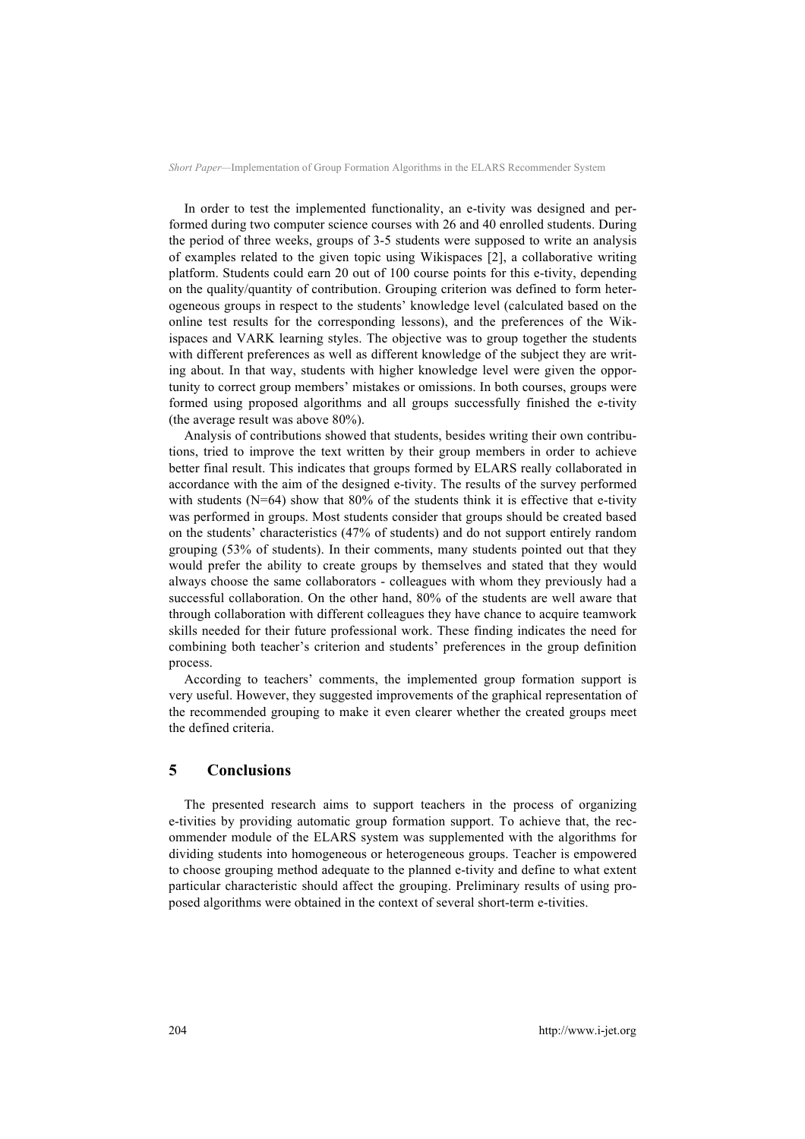In order to test the implemented functionality, an e-tivity was designed and performed during two computer science courses with 26 and 40 enrolled students. During the period of three weeks, groups of 3-5 students were supposed to write an analysis of examples related to the given topic using Wikispaces [2], a collaborative writing platform. Students could earn 20 out of 100 course points for this e-tivity, depending on the quality/quantity of contribution. Grouping criterion was defined to form heterogeneous groups in respect to the students' knowledge level (calculated based on the online test results for the corresponding lessons), and the preferences of the Wikispaces and VARK learning styles. The objective was to group together the students with different preferences as well as different knowledge of the subject they are writing about. In that way, students with higher knowledge level were given the opportunity to correct group members' mistakes or omissions. In both courses, groups were formed using proposed algorithms and all groups successfully finished the e-tivity (the average result was above 80%).

Analysis of contributions showed that students, besides writing their own contributions, tried to improve the text written by their group members in order to achieve better final result. This indicates that groups formed by ELARS really collaborated in accordance with the aim of the designed e-tivity. The results of the survey performed with students  $(N=64)$  show that 80% of the students think it is effective that e-tivity was performed in groups. Most students consider that groups should be created based on the students' characteristics (47% of students) and do not support entirely random grouping (53% of students). In their comments, many students pointed out that they would prefer the ability to create groups by themselves and stated that they would always choose the same collaborators - colleagues with whom they previously had a successful collaboration. On the other hand, 80% of the students are well aware that through collaboration with different colleagues they have chance to acquire teamwork skills needed for their future professional work. These finding indicates the need for combining both teacher's criterion and students' preferences in the group definition process.

According to teachers' comments, the implemented group formation support is very useful. However, they suggested improvements of the graphical representation of the recommended grouping to make it even clearer whether the created groups meet the defined criteria.

### **5 Conclusions**

The presented research aims to support teachers in the process of organizing e-tivities by providing automatic group formation support. To achieve that, the recommender module of the ELARS system was supplemented with the algorithms for dividing students into homogeneous or heterogeneous groups. Teacher is empowered to choose grouping method adequate to the planned e-tivity and define to what extent particular characteristic should affect the grouping. Preliminary results of using proposed algorithms were obtained in the context of several short-term e-tivities.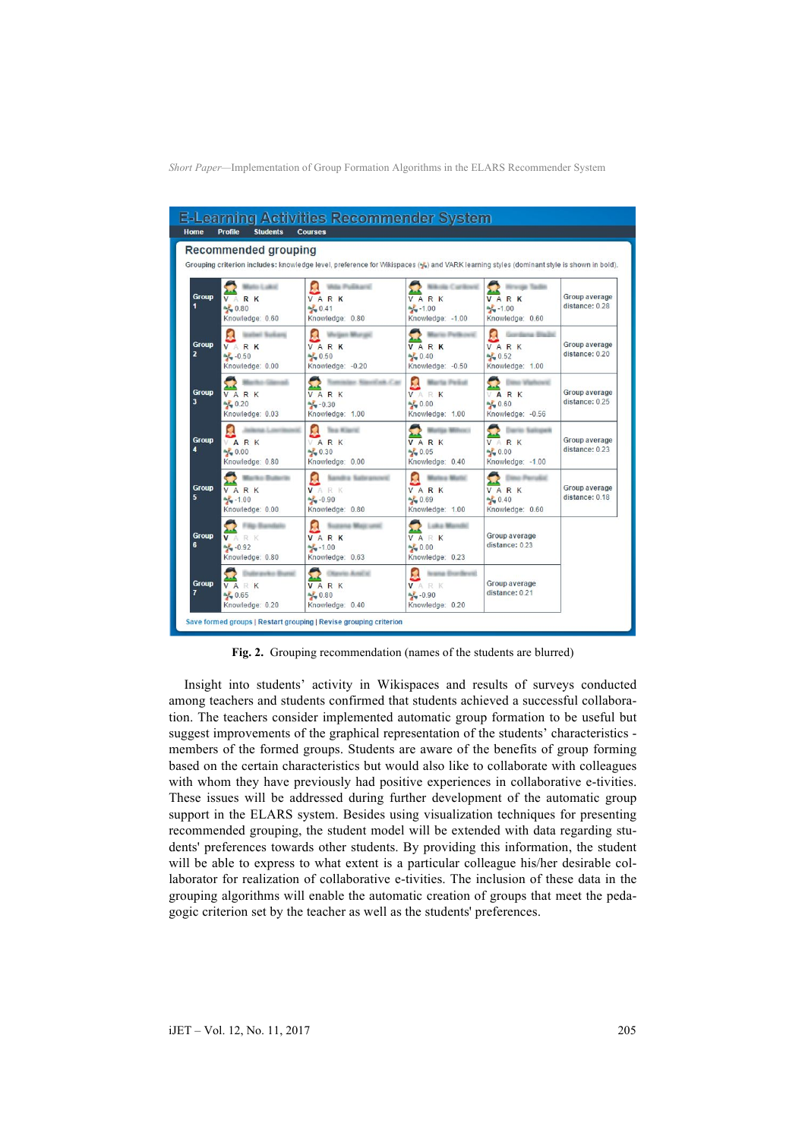| <b>Home</b>                             | <b>Profile</b><br><b>Students</b>                     | <b>Courses</b>                                                                                                                          |                                                           |                                                                       |                                 |
|-----------------------------------------|-------------------------------------------------------|-----------------------------------------------------------------------------------------------------------------------------------------|-----------------------------------------------------------|-----------------------------------------------------------------------|---------------------------------|
|                                         | Recommended grouping                                  |                                                                                                                                         |                                                           |                                                                       |                                 |
|                                         |                                                       | Grouping criterion includes: knowledge level, preference for Wikispaces (%) and VARK learning styles (dominant style is shown in bold). |                                                           |                                                                       |                                 |
| <b>Group</b><br>1                       | VARK<br>$\frac{1}{2}0.80$<br>Knowledge: 0.60          | a Publant<br>VARK<br>$\frac{1}{2}$ 0.41<br>Knowledge: 0.80                                                                              | VARK<br>$\frac{1}{2}$ -1.00<br>Knowledge: - 1.00          | sie Taute<br>VARK<br>$\frac{1}{2} - 1.00$<br>Knowledge: 0.60          | Group average<br>distance: 0.28 |
| <b>Group</b><br>$\overline{\mathbf{z}}$ | VARK<br>$\frac{1}{2}$ -0.50<br>Knowledge: 0.00        | <b>Gent Minimum</b><br>VARK<br>$\frac{1}{2}0.50$<br>Knowledge: - 0.20                                                                   | VARK<br>$\frac{1}{2}$ 0.40<br>Knowledge: - 0.50           | VARK<br>$\frac{1}{2}0.52$<br>Knowledge: 1.00                          | Group average<br>distance: 0.20 |
| <b>Group</b><br>3                       | VARK<br>$\frac{1}{2}0.20$<br>Knowledge: 0.03          | <b>MALCA</b><br>VARK<br>$\frac{1}{2}$ - 0.30<br>Knowledge: 1.00                                                                         | ta Peliut<br>VARK<br>$\frac{1}{2}0.00$<br>Knowledge: 1.00 | ARK<br>$\frac{1}{2}0.60$<br>Knowledge: - 0.56                         | Group average<br>distance: 0.25 |
| <b>Group</b><br>4                       | VARK<br>$\frac{1}{2}0.00$<br>Knowledge: 0.80          | <b>Sea Milarril</b><br>VARK<br>$\frac{1}{2}0.30$<br>Knowledge: 0.00                                                                     | VARK<br>$\frac{1}{2}0.05$<br>Knowledge: 0.40              | VARK<br>$\frac{1}{2}0.00$<br>Knowledge: - 1.00                        | Group average<br>distance: 0.23 |
| <b>Group</b><br>5                       | VARK<br>$\frac{1}{2} - 1.00$<br>Knowledge: 0.00       | andra Katean<br>VARK<br>$\frac{1}{2} - 0.90$<br>Knowledge: 0.80                                                                         | VARK<br>$\frac{1}{2}0.69$<br>Knowledge: 1.00              | <b>Inc. Parrulin</b><br>VARK<br>$\frac{1}{2}$ 0.40<br>Knowledge: 0.60 | Group average<br>distance: 0.18 |
| <b>Group</b><br>6                       | R K<br>V A<br>$\frac{1}{2} - 0.92$<br>Knowledge: 0.80 | VARK<br>$\frac{1}{2}$ -1.00<br>Knowledge: 0.63                                                                                          | Ludos 5<br>VARK<br>$\frac{1}{2}0.00$<br>Knowledge: 0.23   | Group average<br>distance: 0.23                                       |                                 |
| <b>Group</b><br>7                       | VARK<br>$\frac{1}{2}0.65$<br>Knowledge: 0.20          | o And's<br>VARK<br>$\frac{1}{2}0.80$<br>Knowledge: 0.40                                                                                 | ia Enardieutó<br>VARK<br>$M = 0.90$<br>Knowledge: 0.20    | Group average<br>distance: 0.21                                       |                                 |

**Fig. 2.** Grouping recommendation (names of the students are blurred)

Insight into students' activity in Wikispaces and results of surveys conducted among teachers and students confirmed that students achieved a successful collaboration. The teachers consider implemented automatic group formation to be useful but suggest improvements of the graphical representation of the students' characteristics members of the formed groups. Students are aware of the benefits of group forming based on the certain characteristics but would also like to collaborate with colleagues with whom they have previously had positive experiences in collaborative e-tivities. These issues will be addressed during further development of the automatic group support in the ELARS system. Besides using visualization techniques for presenting recommended grouping, the student model will be extended with data regarding students' preferences towards other students. By providing this information, the student will be able to express to what extent is a particular colleague his/her desirable collaborator for realization of collaborative e-tivities. The inclusion of these data in the grouping algorithms will enable the automatic creation of groups that meet the pedagogic criterion set by the teacher as well as the students' preferences.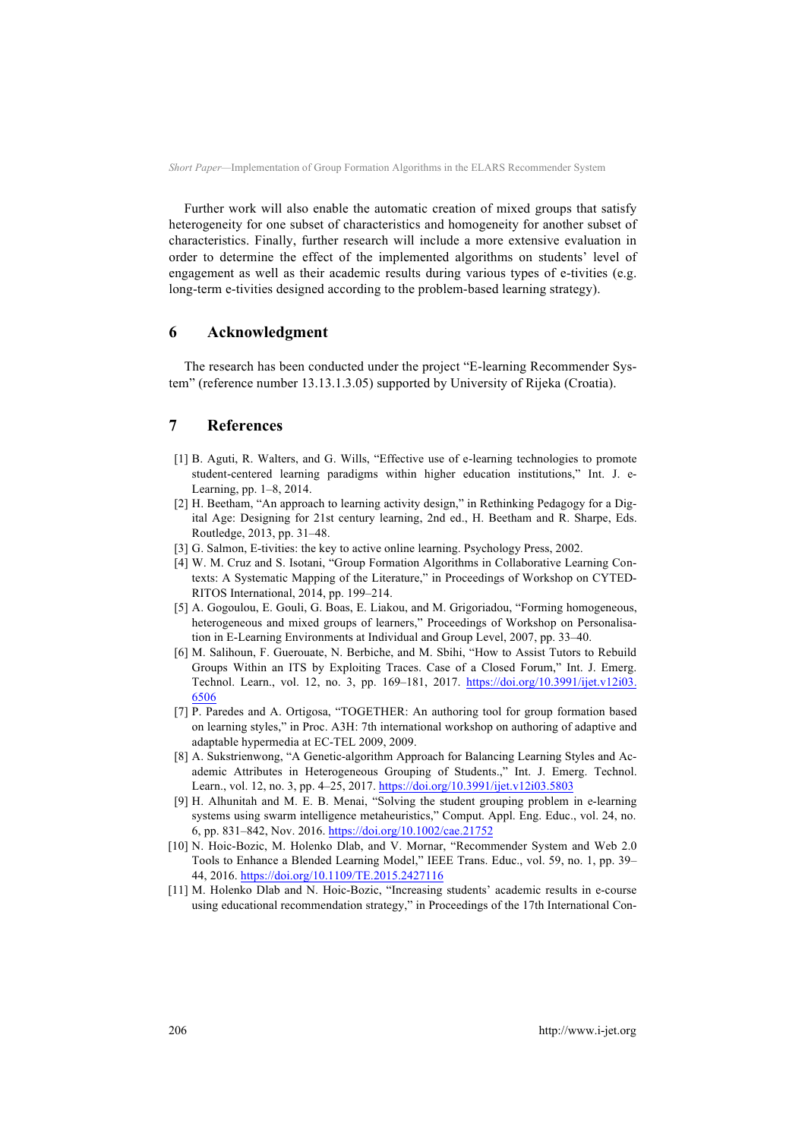Further work will also enable the automatic creation of mixed groups that satisfy heterogeneity for one subset of characteristics and homogeneity for another subset of characteristics. Finally, further research will include a more extensive evaluation in order to determine the effect of the implemented algorithms on students' level of engagement as well as their academic results during various types of e-tivities (e.g. long-term e-tivities designed according to the problem-based learning strategy).

### **6 Acknowledgment**

The research has been conducted under the project "E-learning Recommender System" (reference number 13.13.1.3.05) supported by University of Rijeka (Croatia).

# **7 References**

- [1] B. Aguti, R. Walters, and G. Wills, "Effective use of e-learning technologies to promote student-centered learning paradigms within higher education institutions," Int. J. e-Learning, pp. 1–8, 2014.
- [2] H. Beetham, "An approach to learning activity design," in Rethinking Pedagogy for a Digital Age: Designing for 21st century learning, 2nd ed., H. Beetham and R. Sharpe, Eds. Routledge, 2013, pp. 31–48.
- [3] G. Salmon, E-tivities: the key to active online learning. Psychology Press, 2002.
- [4] W. M. Cruz and S. Isotani, "Group Formation Algorithms in Collaborative Learning Contexts: A Systematic Mapping of the Literature," in Proceedings of Workshop on CYTED-RITOS International, 2014, pp. 199–214.
- [5] A. Gogoulou, E. Gouli, G. Boas, E. Liakou, and M. Grigoriadou, "Forming homogeneous, heterogeneous and mixed groups of learners," Proceedings of Workshop on Personalisation in E-Learning Environments at Individual and Group Level, 2007, pp. 33–40.
- [6] M. Salihoun, F. Guerouate, N. Berbiche, and M. Sbihi, "How to Assist Tutors to Rebuild Groups Within an ITS by Exploiting Traces. Case of a Closed Forum," Int. J. Emerg. Technol. Learn., vol. 12, no. 3, pp. 169–181, 2017. https://doi.org/10.3991/ijet.v12i03. 6506
- [7] P. Paredes and A. Ortigosa, "TOGETHER: An authoring tool for group formation based on learning styles," in Proc. A3H: 7th international workshop on authoring of adaptive and adaptable hypermedia at EC-TEL 2009, 2009.
- [8] A. Sukstrienwong, "A Genetic-algorithm Approach for Balancing Learning Styles and Academic Attributes in Heterogeneous Grouping of Students.," Int. J. Emerg. Technol. Learn., vol. 12, no. 3, pp. 4–25, 2017. https://doi.org/10.3991/ijet.v12i03.5803
- [9] H. Alhunitah and M. E. B. Menai, "Solving the student grouping problem in e-learning systems using swarm intelligence metaheuristics," Comput. Appl. Eng. Educ., vol. 24, no. 6, pp. 831–842, Nov. 2016. https://doi.org/10.1002/cae.21752
- [10] N. Hoic-Bozic, M. Holenko Dlab, and V. Mornar, "Recommender System and Web 2.0 Tools to Enhance a Blended Learning Model," IEEE Trans. Educ., vol. 59, no. 1, pp. 39– 44, 2016. https://doi.org/10.1109/TE.2015.2427116
- [11] M. Holenko Dlab and N. Hoic-Bozic, "Increasing students' academic results in e-course using educational recommendation strategy," in Proceedings of the 17th International Con-